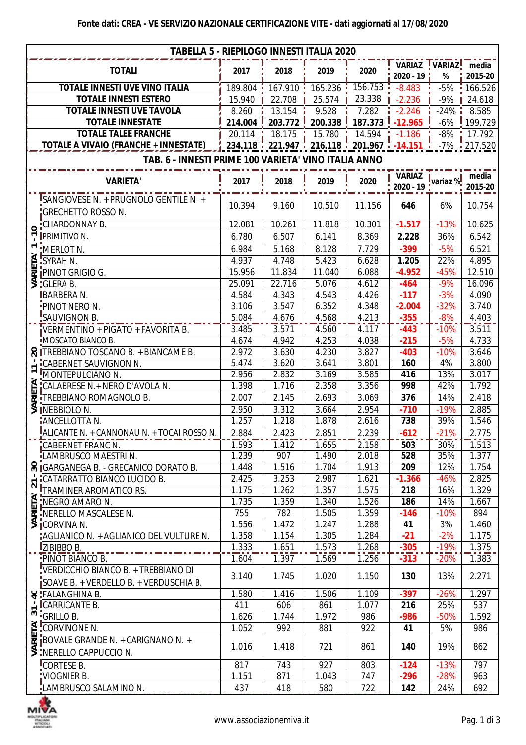| <b>TABELLA 5 - RIEPILOGO INNESTI ITALIA 2020</b> |                                                                       |         |                             |             |                                                   |                                            |        |                  |  |  |
|--------------------------------------------------|-----------------------------------------------------------------------|---------|-----------------------------|-------------|---------------------------------------------------|--------------------------------------------|--------|------------------|--|--|
|                                                  | <b>TOTALI</b>                                                         | 2017    | 2018                        | 2019        | 2020                                              | VARIAZ VARIAZ<br>2020 - 19                 | $\%$   | media<br>2015-20 |  |  |
| <b>TOTALE INNESTI UVE VINO ITALIA</b>            |                                                                       | 189.804 | $167.910$ $\frac{1}{2}$     | $165.236$ : | 156.753                                           | $-8.483$                                   | $-5%$  | 166.526          |  |  |
| <b>TOTALE INNESTI ESTERO</b>                     |                                                                       | 15.940  | 22.708                      | 25.574      | 23.338                                            | $-2.236$                                   | $-9%$  | 24.618           |  |  |
| <b>TOTALE INNESTI UVE TAVOLA</b>                 |                                                                       | 8.260   | 13.154                      | 9.528       | 7.282                                             | $-2.246$                                   | $-24%$ | 8.585            |  |  |
| <b>TOTALE INNESTATE</b>                          |                                                                       | 214.004 | 203.772                     | 200.338     | 187.373                                           | $-12.965$                                  | $-6%$  | 199.729          |  |  |
|                                                  | <b>TOTALE TALEE FRANCHE</b>                                           | 20.114  | 18.175                      | 15.780      | 14.594                                            | $-1.186$                                   | $-8%$  | 17.792           |  |  |
|                                                  | <b>TOTALE A VIVAIO (FRANCHE + INNESTATE)</b>                          |         | $234.118 \div 221.947 \div$ |             | $216.118$ $\cdot$ 201.967 $\cdot$ -14.151 $\cdot$ |                                            | $-7%$  | 1217.520         |  |  |
|                                                  |                                                                       |         |                             |             |                                                   |                                            |        |                  |  |  |
|                                                  | TAB. 6 - INNESTI PRIME 100 VARIETA' VINO ITALIA ANNO                  |         |                             |             |                                                   |                                            |        |                  |  |  |
|                                                  | <b>VARIETA'</b>                                                       | 2017    | 2018                        | 2019        | 2020                                              | VARIAZ <sub>I.</sub><br>2020 - 19 variaz % |        | media<br>2015-20 |  |  |
|                                                  | SANGIOVESE N. + PRUGNOLO GENTILE N. +<br><b>GRECHETTO ROSSO N.</b>    | 10.394  | 9.160                       | 10.510      | 11.156                                            | 646                                        | 6%     | 10.754           |  |  |
| 0                                                | "CHARDONNAY B.                                                        | 12.081  | 10.261                      | 11.818      | 10.301                                            | $-1.517$                                   | $-13%$ | 10.625           |  |  |
|                                                  | <b>IPRIMITIVO N.</b>                                                  | 6.780   | 6.507                       | 6.141       | 8.369                                             | 2.228                                      | 36%    | 6.542            |  |  |
|                                                  | :MERLOT N.                                                            | 6.984   | 5.168                       | 8.128       | 7.729                                             | $-399$                                     | $-5%$  | 6.521            |  |  |
|                                                  |                                                                       | 4.937   | 4.748                       | 5.423       | 6.628                                             | 1.205                                      | 22%    | 4.895            |  |  |
|                                                  | E FIVERLUT IN<br>LE SYRAH N.<br>E PINOT GRIGIO G.<br>S : GLERA B.     | 15.956  | 11.834                      | 11.040      | 6.088                                             | $-4.952$                                   | $-45%$ | 12.510           |  |  |
|                                                  |                                                                       | 25.091  | 22.716                      | 5.076       | 4.612                                             | $-464$                                     | $-9%$  | 16.096           |  |  |
|                                                  | <b>BARBERA N.</b>                                                     | 4.584   | 4.343                       | 4.543       | 4.426                                             | $-117$                                     | $-3%$  | 4.090            |  |  |
|                                                  | :PINOT NERO N.                                                        | 3.106   | 3.547                       | 6.352       | 4.348                                             | $-2.004$                                   | $-32%$ | 3.740            |  |  |
|                                                  | SAUVIGNON B.                                                          | 5.084   | 4.676                       | 4.568       | 4.213                                             | $-355$                                     | $-8%$  | 4.403            |  |  |
|                                                  | VERMENTINO + PIGATO + FAVORITA B.                                     | 3.485   | 3.571                       | 4.560       | 4.117                                             | $-443$                                     | $-10%$ | 3.511            |  |  |
|                                                  | MOSCATO BIANCO B.                                                     | 4.674   | 4.942                       | 4.253       | 4.038                                             | $-215$                                     | $-5%$  | 4.733            |  |  |
|                                                  | <b>R</b> ITREBBIANO TOSCANO B. + BIANCAME B.                          | 2.972   | 3.630                       | 4.230       | 3.827                                             | $-403$                                     | $-10%$ | 3.646            |  |  |
|                                                  | <b>CABERNET SAUVIGNON N.</b>                                          | 5.474   | 3.620                       | 3.641       | 3.801                                             | 160                                        | 4%     | 3.800            |  |  |
| $\blacktriangledown$<br>$\overline{\phantom{0}}$ | MONTEPULCIANO N.                                                      | 2.956   | 2.832                       | 3.169       | 3.585                                             | 416                                        | 13%    | 3.017            |  |  |
|                                                  | "CALABRESE N.+ NERO D'AVOLA N.                                        | 1.398   | 1.716                       | 2.358       | 3.356                                             | 998                                        | 42%    | 1.792            |  |  |
| <b>RIETA</b>                                     | <b>TREBBIANO ROMAGNOLO B.</b>                                         | 2.007   | 2.145                       | 2.693       | 3.069                                             | 376                                        | 14%    | 2.418            |  |  |
| ⋚                                                | <b>INEBBIOLO N.</b>                                                   | 2.950   | 3.312                       | 3.664       | 2.954                                             | $-710$                                     | $-19%$ | 2.885            |  |  |
|                                                  | ANCELLOTTA N.                                                         | 1.257   | 1.218                       | 1.878       | 2.616                                             | 738                                        | 39%    | 1.546            |  |  |
|                                                  | ALICANTE N. + CANNONAU N. + TOCAI ROSSO N.                            | 2.884   | 2.423                       | 2.851       | 2.239                                             | $-612$                                     | $-21%$ | 2.775            |  |  |
|                                                  | CABERNET FRANC N.                                                     | 1.593   | 1.412                       | 1.655       | 2.158                                             | 503                                        | 30%    | 1.513            |  |  |
|                                                  | LAMBRUSCO MAESTRI N.                                                  | 1.239   | 907                         | 1.490       | 2.018                                             | 528                                        | 35%    | 1.377            |  |  |
|                                                  | SIGARGANEGA B. - GRECANICO DORATO B.                                  | 1.448   | 1.516                       | 1.704       | 1.913                                             | 209                                        | 12%    | 1.754            |  |  |
|                                                  |                                                                       | 2.425   | 3.253                       | 2.987       | 1.621                                             | $-1.366$                                   | $-46%$ | 2.825            |  |  |
|                                                  | CATARRATTO BIANCO LUCIDO B.                                           | 1.175   | 1.262                       | 1.357       | 1.575                                             | 218                                        | 16%    | 1.329            |  |  |
| ETA'                                             | NEGRO AMARO N.                                                        | 1.735   | 1.359                       | 1.340       | 1.526                                             | 186                                        | 14%    | 1.667            |  |  |
|                                                  | E INERELLO MASCALESE N.                                               | 755     | 782                         | 1.505       | 1.359                                             | $-146$                                     | $-10%$ | 894              |  |  |
|                                                  | $\overline{\text{S}}$ CORVINA N.                                      | 1.556   | 1.472                       | 1.247       | 1.288                                             | 41                                         | 3%     | 1.460            |  |  |
|                                                  | "AGLIANICO N. + AGLIANICO DEL VULTURE N.                              | 1.358   | 1.154                       | 1.305       | 1.284                                             | $-21$                                      | $-2%$  | 1.175            |  |  |
|                                                  | <b>IZIBIBBO B.</b>                                                    | 1.333   | 1.651                       | 1.573       | 1.268                                             | $-305$                                     | $-19%$ | 1.375            |  |  |
|                                                  | PINOT BIANCO B.                                                       | 1.604   | 1.397                       | 1.569       | 1.256                                             | $-313$                                     | $-20%$ | 1.383            |  |  |
|                                                  | VERDICCHIO BIANCO B. + TREBBIANO DI                                   |         |                             |             |                                                   |                                            |        |                  |  |  |
|                                                  | SOAVE B. + VERDELLO B. + VERDUSCHIA B.                                | 3.140   | 1.745                       | 1.020       | 1.150                                             | 130                                        | 13%    | 2.271            |  |  |
|                                                  | & FALANGHINA B.                                                       | 1.580   | 1.416                       | 1.506       | 1.109                                             | $-397$                                     | $-26%$ | 1.297            |  |  |
|                                                  | <b>ICARRICANTE B.</b>                                                 | 411     | 606                         | 861         | 1.077                                             | 216                                        | 25%    | 537              |  |  |
|                                                  | $\frac{1}{2}$ $\frac{1}{2}$ $\frac{1}{2}$ $\frac{1}{2}$ $\frac{1}{2}$ | 1.626   | 1.744                       | 1.972       | 986                                               | $-986$                                     | $-50%$ | 1.592            |  |  |
|                                                  | CORVINONE N.                                                          | 1.052   | 992                         | 881         | 922                                               | 41                                         | 5%     | 986              |  |  |
|                                                  | $\Xi$ BOVALE GRANDE N. + CARIGNANO N. +                               |         |                             |             |                                                   |                                            |        |                  |  |  |
|                                                  | $\leq$ INERELLO CAPPUCCIO N.                                          | 1.016   | 1.418                       | 721         | 861                                               | 140                                        | 19%    | 862              |  |  |
|                                                  | CORTESE B.                                                            | 817     | 743                         | 927         | 803                                               | $-124$                                     | $-13%$ | 797              |  |  |
|                                                  | VIOGNIER B.                                                           | 1.151   | 871                         | 1.043       | 747                                               | $-296$                                     | $-28%$ | 963              |  |  |
|                                                  | LAMBRUSCO SALAMINO N.                                                 | 437     | 418                         | 580         | 722                                               | 142                                        | 24%    | 692              |  |  |

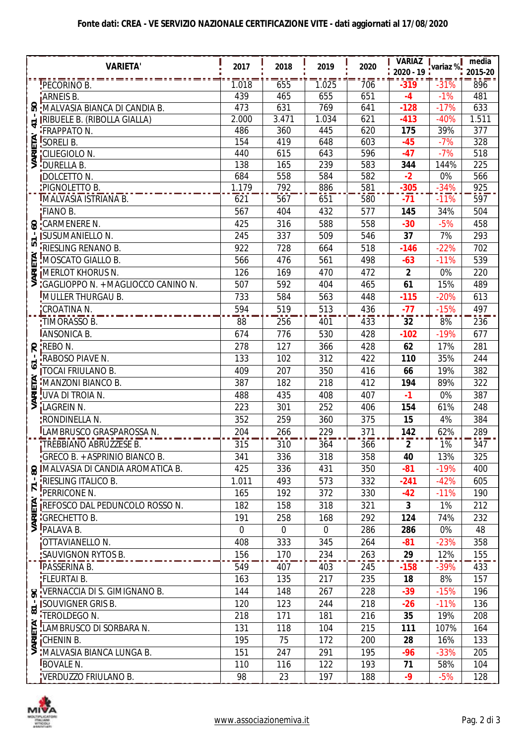## **Fonte dati: CREA - VE SERVIZIO NAZIONALE CERTIFICAZIONE VITE - dati aggiornati al 17/08/2020**

|                            | <b>VARIETA'</b>                                                                         | 2017        | 2018        | 2019       | 2020       | <b>VARIAZ</b>        |                | $m$ edia   |
|----------------------------|-----------------------------------------------------------------------------------------|-------------|-------------|------------|------------|----------------------|----------------|------------|
|                            |                                                                                         |             |             |            |            | 2020 - 19 ivariaz %! |                | 2015-20    |
|                            | PECORINO B.                                                                             | 1.018       | 655         | 1.025      | 706        | $-319$               | $-31%$         | 896        |
|                            | ARNEIS B.                                                                               | 439         | 465         | 655        | 651        | $-4$                 | $-1%$          | 481        |
| SO                         | MALVASIA BIANCA DI CANDIA B.                                                            | 473         | 631         | 769        | 641        | $-128$               | $-17%$         | 633        |
| $\overline{\phantom{0}}$   | <b>IRIBUELE B. (RIBOLLA GIALLA)</b>                                                     | 2.000       | 3.471       | 1.034      | 621        | $-413$               | $-40%$         | 1.511      |
|                            | <b>FRAPPATO N.</b>                                                                      | 486         | 360         | 445        | 620        | 175                  | 39%            | 377        |
|                            |                                                                                         | 154<br>440  | 419<br>615  | 648<br>643 | 603<br>596 | $-45$<br>$-47$       | $-7%$<br>$-7%$ | 328<br>518 |
|                            | E SORELI B.<br>E CILIEGIOLO<br>S DURELLA B.<br><b>CILIEGIOLO N.</b>                     | 138         | 165         | 239        | 583        | 344                  | 144%           | 225        |
|                            | <b>DOLCETTO N.</b>                                                                      | 684         | 558         | 584        | 582        | $-2$                 | 0%             | 566        |
|                            | PIGNOLETTO B.                                                                           | 1.179       | 792         | 886        | 581        | $-305$               | $-34%$         | 925        |
|                            | IMALVASIA ISTRIANA B.                                                                   | 621         | 567         | 651        | 580        | $-71$                | $-11%$         | 597        |
|                            | FIANO B.                                                                                | 567         | 404         | 432        | 577        | 145                  | 34%            | 504        |
|                            | <b>S</b> CARMENERE N.                                                                   | 425         | 316         | 588        | 558        | $-30$                | $-5%$          | 458        |
|                            | <b>ISUSUMANIELLO N.</b>                                                                 | 245         | 337         | 509        | 546        | 37                   | 7%             | 293        |
| 51                         | <b>FRIESLING RENANO B.</b>                                                              | 922         | 728         | 664        | 518        | $-146$               | $-22%$         | 702        |
| <b>VARIETA'</b>            | MOSCATO GIALLO B.                                                                       | 566         | 476         | 561        | 498        | $-63$                | $-11%$         | 539        |
|                            | <b>MERLOT KHORUS N.</b>                                                                 | 126         | 169         | 470        | 472        | $\mathbf{2}$         | 0%             | 220        |
|                            | "GAGLIOPPO N. + MAGLIOCCO CANINO N.                                                     | 507         | 592         | 404        | 465        | 61                   | 15%            | 489        |
|                            | MULLER THURGAU B.                                                                       | 733         | 584         | 563        | 448        | $-115$               | $-20%$         | 613        |
|                            | CROATINA N.                                                                             | 594         | 519         | 513        | 436        | $-77$                | $-15%$         | 497        |
|                            | :TIMORASSO B.                                                                           | 88          | 256         | 401        | 433        | 32                   | 8%             | 236        |
|                            | <b>JANSONICA B.</b>                                                                     | 674         | 776         | 530        | 428        | $-102$               | $-19%$         | 677        |
|                            | $R$ $REBON$ .                                                                           | 278         | 127         | 366        | 428        | 62                   | 17%            | 281        |
|                            | <b>RABOSO PIAVE N.</b>                                                                  | 133         | 102         | 312        | 422        | 110                  | 35%            | 244        |
| ∘                          | <b>TOCAI FRIULANO B.</b>                                                                | 409         | 207         | 350        | 416        | 66                   | 19%            | 382        |
| <b>RIETA'</b>              | MANZONI BIANCO B.                                                                       | 387         | 182         | 218        | 412        | 194                  | 89%            | 322        |
|                            | UVA DI TROIA N.                                                                         | 488         | 435         | 408        | 407        | $-1$                 | 0%             | 387        |
| ≶                          | LAGREIN N.                                                                              | 223         | 301         | 252        | 406        | 154                  | 61%            | 248        |
|                            | :RONDINELLA N.                                                                          | 352         | 259         | 360        | 375        | 15                   | 4%             | 384        |
|                            | LAMBRUSCO GRASPAROSSA N.                                                                | 204         | 266         | 229        | 371        | 142                  | 62%            | 289        |
|                            | TREBBIANO ABRUZZESE B.                                                                  | 315         | 310         | 364        | 366        | $\mathbf{2}$         | 1%             | 347        |
|                            | GRECO B. + ASPRINIO BIANCO B.                                                           | 341         | 336         | 318        | 358        | 40                   | 13%            | 325        |
|                            | <b>&amp; MALVASIA DI CANDIA AROMATICA B.</b>                                            | 425         | 336         | 431        | 350        | $-81$                | $-19%$         | 400        |
| $\mathcal{A}$              | <b>RIESLING ITALICO B.</b>                                                              | 1.011       | 493         | 573        | 332        | $-241$               | $-42%$         | 605        |
| 71                         | PERRICONE N.                                                                            | 165         | 192         | 372        | 330        | $-42$                | $-11%$         | 190        |
| ЕŘ.                        | <b>IREFOSCO DAL PEDUNCOLO ROSSO N.</b>                                                  | 182         | 158         | 318        | 321        | 3                    | 1%             | 212        |
|                            | $\overline{\mathbf{z}}$ <b>GRECHETTO B.</b>                                             | 191         | 258         | 168        | 292        | 124                  | 74%            | 232        |
|                            | $\overline{\mathsf{S}}$ PALAVA B.                                                       | $\mathbf 0$ | $\mathbf 0$ | 0          | 286        | 286                  | 0%             | 48         |
|                            | OTTAVIANELLO N.                                                                         | 408         | 333         | 345        | 264        | $-81$                | $-23%$         | 358        |
|                            | <b>:SAUVIGNON RYTOS B.</b>                                                              | 156         | 170         | 234        | 263        | 29                   | 12%            | 155        |
|                            | <b>IPASSERINA B.</b>                                                                    | 549         | 407         | 403        | 245        | $-158$               | $-39%$         | 433        |
|                            | <b>:FLEURTAI B.</b>                                                                     | 163         | 135         | 217        | 235        | 18                   | 8%             | 157        |
|                            | S VERNACCIA DI S. GIMIGNANO B.                                                          | 144         | 148         | 267        | 228        | -39                  | $-15%$         | 196        |
|                            | <b>ISOUVIGNER GRIS B.</b>                                                               | 120         | 123         | 244        | 218        | $-26$                | $-11%$         | 136        |
| $\overline{ }$<br>$\infty$ | TEROLDEGO N.                                                                            | 218         | 171         | 181        | 216        | 35                   | 19%            | 208        |
|                            | EL LAMBRUSCO DI SORBARA N.<br>EL LAMBRUSCO DI SORBARA N.<br>S :MALVASIA BIANCA LUNGA B. | 131         | 118         | 104        | 215        | 111                  | 107%           | 164        |
|                            |                                                                                         | 195         | 75          | 172        | 200        | 28                   | 16%            | 133        |
|                            |                                                                                         | 151         | 247         | 291        | 195        | $-96$                | $-33%$         | 205        |
|                            | BOVALE N.                                                                               | 110         | 116         | 122        | 193        | 71                   | 58%            | 104        |
|                            | VERDUZZO FRIULANO B.                                                                    | 98          | 23          | 197        | 188        | $-9$                 | $-5%$          | 128        |